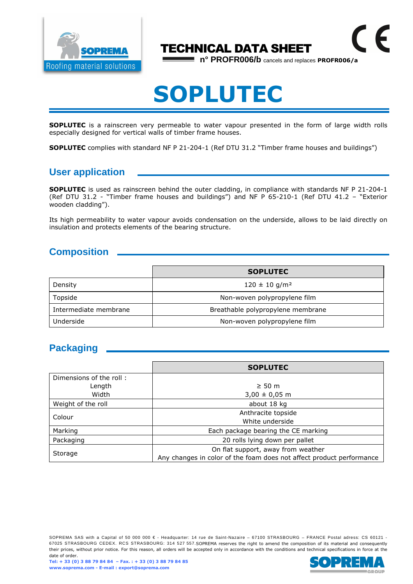

### TECHNICAL DATA SHEET

**n° PROFR006/b** cancels and replaces **PROFR006/a**

 $\epsilon$ 

# **SOPLUTEC**

**SOPLUTEC** is a rainscreen very permeable to water vapour presented in the form of large width rolls especially designed for vertical walls of timber frame houses.

**SOPLUTEC** complies with standard NF P 21-204-1 (Ref DTU 31.2 "Timber frame houses and buildings")

#### **User application**

**SOPLUTEC** is used as rainscreen behind the outer cladding, in compliance with standards NF P 21-204-1 (Ref DTU 31.2 - "Timber frame houses and buildings") and NF P 65-210-1 (Ref DTU 41.2 – "Exterior wooden cladding").

Its high permeability to water vapour avoids condensation on the underside, allows to be laid directly on insulation and protects elements of the bearing structure.

#### **Composition**

|                       | <b>SOPLUTEC</b>                   |  |
|-----------------------|-----------------------------------|--|
| Density               | $120 \pm 10$ g/m <sup>2</sup>     |  |
| Topside               | Non-woven polypropylene film      |  |
| Intermediate membrane | Breathable polypropylene membrane |  |
| Underside             | Non-woven polypropylene film      |  |

#### **Packaging**

|                         | <b>SOPLUTEC</b>                                                      |  |  |
|-------------------------|----------------------------------------------------------------------|--|--|
| Dimensions of the roll: |                                                                      |  |  |
| Length                  | $\geq 50$ m                                                          |  |  |
| Width                   | $3,00 \pm 0,05$ m                                                    |  |  |
| Weight of the roll      | about 18 kg                                                          |  |  |
| Colour                  | Anthracite topside                                                   |  |  |
|                         | White underside                                                      |  |  |
| Marking                 | Each package bearing the CE marking                                  |  |  |
| Packaging               | 20 rolls lying down per pallet                                       |  |  |
| Storage                 | On flat support, away from weather                                   |  |  |
|                         | Any changes in color of the foam does not affect product performance |  |  |

SOPREMA SAS with a Capital of 50 000 000 € - Headquarter: 14 rue de Saint-Nazaire – 67100 STRASBOURG – FRANCE Postal adress: CS 60121 -67025 STRASBOURG CEDEX. RCS STRASBOURG: 314 527 557.SOPREMA reserves the right to amend the composition of its material and consequently their prices, without prior notice. For this reason, all orders will be accepted only in accordance with the conditions and technical specifications in force at the date of order.